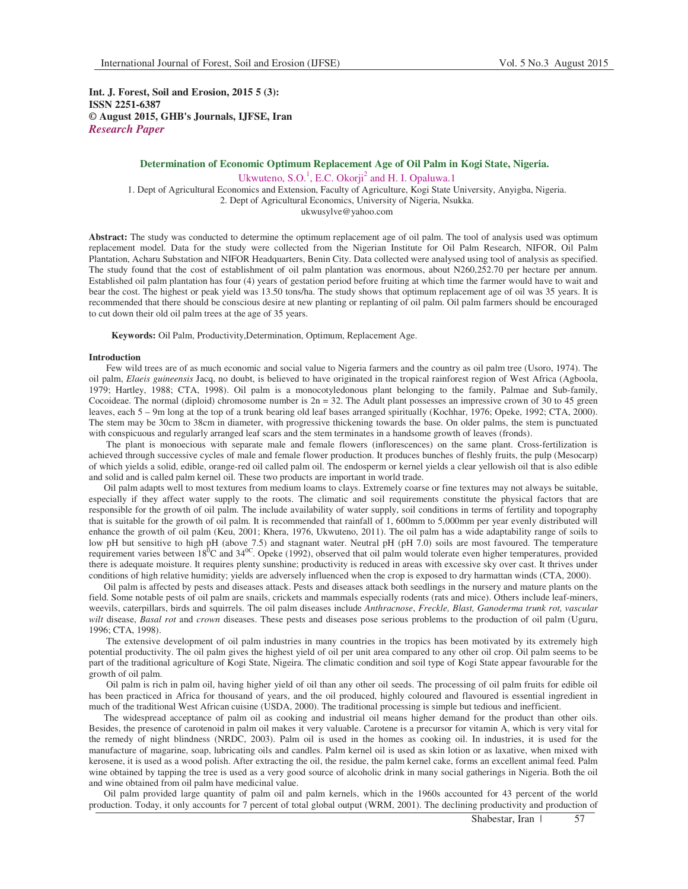**Int. J. Forest, Soil and Erosion, 2015 5 (3): ISSN 2251-6387 © August 2015, GHB's Journals, IJFSE, Iran** *Research Paper* 

## **Determination of Economic Optimum Replacement Age of Oil Palm in Kogi State, Nigeria.**

Ukwuteno, S.O.<sup>1</sup>, E.C. Okorji<sup>2</sup> and H. I. Opaluwa.1 1. Dept of Agricultural Economics and Extension, Faculty of Agriculture, Kogi State University, Anyigba, Nigeria. 2. Dept of Agricultural Economics, University of Nigeria, Nsukka. ukwusylve@yahoo.com

**Abstract:** The study was conducted to determine the optimum replacement age of oil palm. The tool of analysis used was optimum replacement model. Data for the study were collected from the Nigerian Institute for Oil Palm Research, NIFOR, Oil Palm Plantation, Acharu Substation and NIFOR Headquarters, Benin City. Data collected were analysed using tool of analysis as specified. The study found that the cost of establishment of oil palm plantation was enormous, about N260,252.70 per hectare per annum. Established oil palm plantation has four (4) years of gestation period before fruiting at which time the farmer would have to wait and bear the cost. The highest or peak yield was 13.50 tons/ha. The study shows that optimum replacement age of oil was 35 years. It is recommended that there should be conscious desire at new planting or replanting of oil palm. Oil palm farmers should be encouraged to cut down their old oil palm trees at the age of 35 years.

**Keywords:** Oil Palm, Productivity,Determination, Optimum, Replacement Age.

#### **Introduction**

 Few wild trees are of as much economic and social value to Nigeria farmers and the country as oil palm tree (Usoro, 1974). The oil palm, *Elaeis guineensis* Jacq, no doubt, is believed to have originated in the tropical rainforest region of West Africa (Agboola, 1979; Hartley, 1988; CTA, 1998). Oil palm is a monocotyledonous plant belonging to the family, Palmae and Sub-family, Cocoideae. The normal (diploid) chromosome number is  $2n = 32$ . The Adult plant possesses an impressive crown of 30 to 45 green leaves, each 5 – 9m long at the top of a trunk bearing old leaf bases arranged spiritually (Kochhar, 1976; Opeke, 1992; CTA, 2000). The stem may be 30cm to 38cm in diameter, with progressive thickening towards the base. On older palms, the stem is punctuated with conspicuous and regularly arranged leaf scars and the stem terminates in a handsome growth of leaves (fronds).

 The plant is monoecious with separate male and female flowers (inflorescences) on the same plant. Cross-fertilization is achieved through successive cycles of male and female flower production. It produces bunches of fleshly fruits, the pulp (Mesocarp) of which yields a solid, edible, orange-red oil called palm oil. The endosperm or kernel yields a clear yellowish oil that is also edible and solid and is called palm kernel oil. These two products are important in world trade.

Oil palm adapts well to most textures from medium loams to clays. Extremely coarse or fine textures may not always be suitable, especially if they affect water supply to the roots. The climatic and soil requirements constitute the physical factors that are responsible for the growth of oil palm. The include availability of water supply, soil conditions in terms of fertility and topography that is suitable for the growth of oil palm. It is recommended that rainfall of 1, 600mm to 5,000mm per year evenly distributed will enhance the growth of oil palm (Keu, 2001; Khera, 1976, Ukwuteno, 2011). The oil palm has a wide adaptability range of soils to low pH but sensitive to high pH (above 7.5) and stagnant water. Neutral pH (pH 7.0) soils are most favoured. The temperature requirement varies between  $18^{6}C$  and  $34^{0}C$ . Opeke (1992), observed that oil palm would tolerate even higher temperatures, provided there is adequate moisture. It requires plenty sunshine; productivity is reduced in areas with excessive sky over cast. It thrives under conditions of high relative humidity; yields are adversely influenced when the crop is exposed to dry harmattan winds (CTA, 2000).

Oil palm is affected by pests and diseases attack. Pests and diseases attack both seedlings in the nursery and mature plants on the field. Some notable pests of oil palm are snails, crickets and mammals especially rodents (rats and mice). Others include leaf-miners, weevils, caterpillars, birds and squirrels. The oil palm diseases include *Anthracnose*, *Freckle, Blast, Ganoderma trunk rot, vascular wilt* disease, *Basal rot* and *crown* diseases. These pests and diseases pose serious problems to the production of oil palm (Uguru, 1996; CTA, 1998).

 The extensive development of oil palm industries in many countries in the tropics has been motivated by its extremely high potential productivity. The oil palm gives the highest yield of oil per unit area compared to any other oil crop. Oil palm seems to be part of the traditional agriculture of Kogi State, Nigeira. The climatic condition and soil type of Kogi State appear favourable for the growth of oil palm.

 Oil palm is rich in palm oil, having higher yield of oil than any other oil seeds. The processing of oil palm fruits for edible oil has been practiced in Africa for thousand of years, and the oil produced, highly coloured and flavoured is essential ingredient in much of the traditional West African cuisine (USDA, 2000). The traditional processing is simple but tedious and inefficient.

The widespread acceptance of palm oil as cooking and industrial oil means higher demand for the product than other oils. Besides, the presence of carotenoid in palm oil makes it very valuable. Carotene is a precursor for vitamin A, which is very vital for the remedy of night blindness (NRDC, 2003). Palm oil is used in the homes as cooking oil. In industries, it is used for the manufacture of magarine, soap, lubricating oils and candles. Palm kernel oil is used as skin lotion or as laxative, when mixed with kerosene, it is used as a wood polish. After extracting the oil, the residue, the palm kernel cake, forms an excellent animal feed. Palm wine obtained by tapping the tree is used as a very good source of alcoholic drink in many social gatherings in Nigeria. Both the oil and wine obtained from oil palm have medicinal value.

Oil palm provided large quantity of palm oil and palm kernels, which in the 1960s accounted for 43 percent of the world production. Today, it only accounts for 7 percent of total global output (WRM, 2001). The declining productivity and production of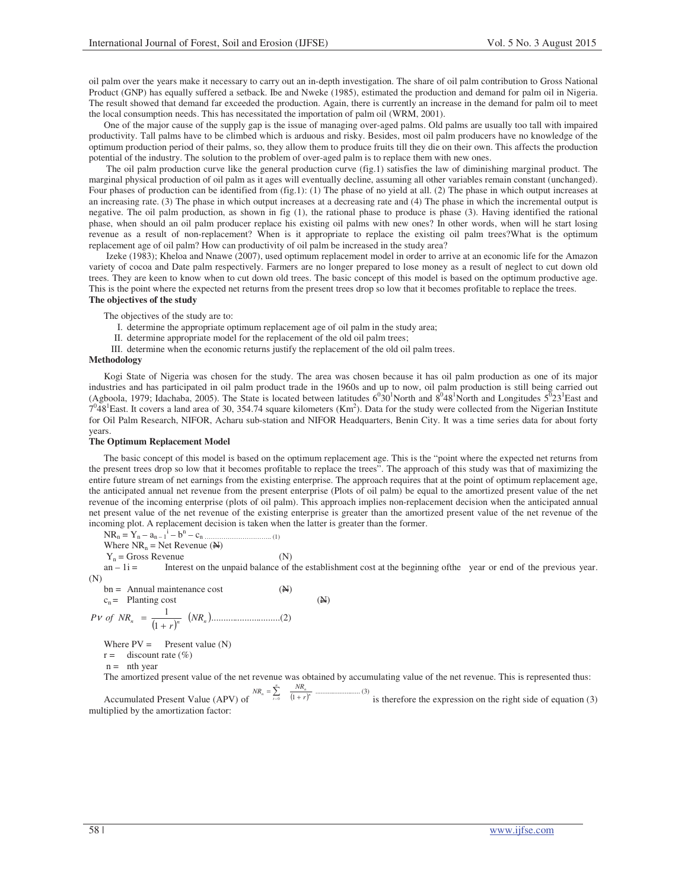oil palm over the years make it necessary to carry out an in-depth investigation. The share of oil palm contribution to Gross National Product (GNP) has equally suffered a setback. Ibe and Nweke (1985), estimated the production and demand for palm oil in Nigeria. The result showed that demand far exceeded the production. Again, there is currently an increase in the demand for palm oil to meet the local consumption needs. This has necessitated the importation of palm oil (WRM, 2001).

One of the major cause of the supply gap is the issue of managing over-aged palms. Old palms are usually too tall with impaired productivity. Tall palms have to be climbed which is arduous and risky. Besides, most oil palm producers have no knowledge of the optimum production period of their palms, so, they allow them to produce fruits till they die on their own. This affects the production potential of the industry. The solution to the problem of over-aged palm is to replace them with new ones.

 The oil palm production curve like the general production curve (fig.1) satisfies the law of diminishing marginal product. The marginal physical production of oil palm as it ages will eventually decline, assuming all other variables remain constant (unchanged). Four phases of production can be identified from (fig.1): (1) The phase of no yield at all. (2) The phase in which output increases at an increasing rate. (3) The phase in which output increases at a decreasing rate and (4) The phase in which the incremental output is negative. The oil palm production, as shown in fig (1), the rational phase to produce is phase (3). Having identified the rational phase, when should an oil palm producer replace his existing oil palms with new ones? In other words, when will he start losing revenue as a result of non-replacement? When is it appropriate to replace the existing oil palm trees?What is the optimum replacement age of oil palm? How can productivity of oil palm be increased in the study area?

 Izeke (1983); Kheloa and Nnawe (2007), used optimum replacement model in order to arrive at an economic life for the Amazon variety of cocoa and Date palm respectively. Farmers are no longer prepared to lose money as a result of neglect to cut down old trees. They are keen to know when to cut down old trees. The basic concept of this model is based on the optimum productive age. This is the point where the expected net returns from the present trees drop so low that it becomes profitable to replace the trees. **The objectives of the study** 

The objectives of the study are to:

- I. determine the appropriate optimum replacement age of oil palm in the study area;
- II. determine appropriate model for the replacement of the old oil palm trees;
- III. determine when the economic returns justify the replacement of the old oil palm trees.

## **Methodology**

Kogi State of Nigeria was chosen for the study. The area was chosen because it has oil palm production as one of its major industries and has participated in oil palm product trade in the 1960s and up to now, oil palm production is still being carried out (Agboola, 1979; Idachaba, 2005). The State is located between latitudes  $6^030^1$ North and  $8^048^1$ North and Longitudes  $5^023^1$ East and  $7^048^1$ East. It covers a land area of 30, 354.74 square kilometers (Km<sup>2</sup>). Data for the study were collected from the Nigerian Institute for Oil Palm Research, NIFOR, Acharu sub-station and NIFOR Headquarters, Benin City. It was a time series data for about forty years.

#### **The Optimum Replacement Model**

The basic concept of this model is based on the optimum replacement age. This is the "point where the expected net returns from the present trees drop so low that it becomes profitable to replace the trees". The approach of this study was that of maximizing the entire future stream of net earnings from the existing enterprise. The approach requires that at the point of optimum replacement age, the anticipated annual net revenue from the present enterprise (Plots of oil palm) be equal to the amortized present value of the net revenue of the incoming enterprise (plots of oil palm). This approach implies non-replacement decision when the anticipated annual net present value of the net revenue of the existing enterprise is greater than the amortized present value of the net revenue of the incoming plot. A replacement decision is taken when the latter is greater than the former.

 $NR_n = Y_n - a_{n-1}^i - b^n$ – cn ………………………….. (1)

Where  $NR_n = Net$  Revenue ( $\triangle$ )

 $Y_n$  = Gross Revenue (N)

 $an - 1i =$  Interest on the unpaid balance of the establishment cost at the beginning of the year or end of the previous year. (N)

 $bn =$  Annual maintenance cost  $(N)$ 

$$
c_n = \text{Planning cost} \tag{4}
$$

( ) ( )............................. )2( 1 1 *n n NR<sup>n</sup> r P of NR* + <sup>ν</sup> =

Where  $PV =$  Present value (N)

 $r =$  discount rate  $(\%)$ 

 $n =$  nth year

The amortized present value of the net revenue was obtained by accumulating value of the net revenue. This is represented thus:

Accumulated Present Value (APV) of ( ) .......................... )3( <sup>0</sup> 1 *n n n*  $\sum_{t=0}^{n}$   $\frac{1}{(1+r)}$  $NR_n = \sum_{t=0}^{n} \frac{NR}{(1 + i)^n}$  $\cdots$ <sup>(3)</sup> is therefore the expression on the right side of equation (3) multiplied by the amortization factor: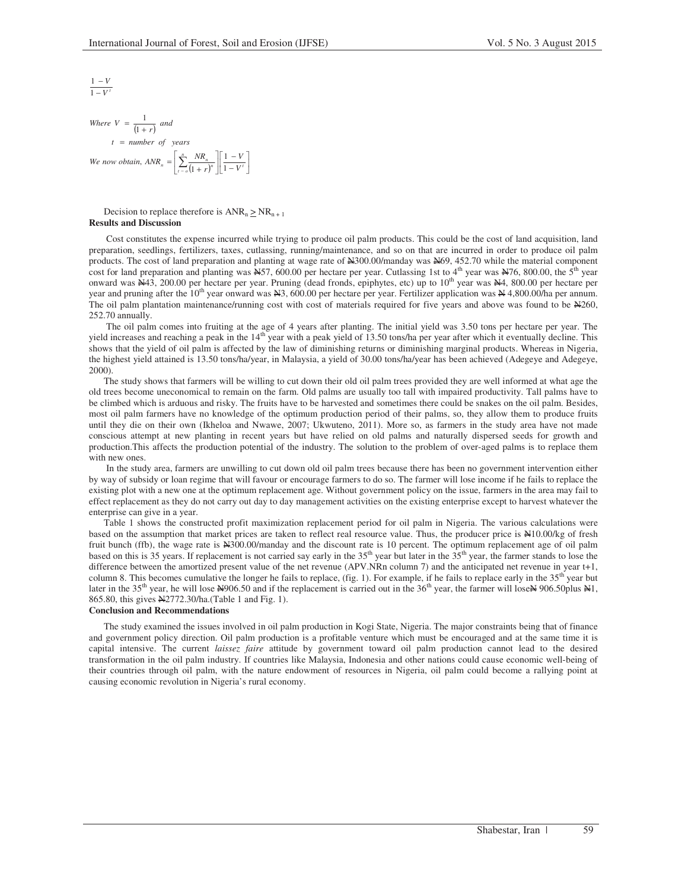$$
\frac{1-V}{1-V'}
$$

Where  $V = \frac{1}{(1+r)}$  and  $\frac{n}{(1+r)^n} \left\lfloor \frac{1}{1-V^t} \right\rfloor$  $\left[\frac{1-V}{1-V'}\right]$ Γ −  $\frac{1}{1}$  $\left[\sum_{t=0}^n \frac{NR_n}{(1+r)^n}\right]$ Г  $=\left|\sum_{t=0}^{n}\frac{NK_n}{(1+r)^n}\right|\left|\frac{1-V}{1-V}\right|$ = *t number of years n*  $\sum_{r=a}^{n} \left| \sum_{r=a}^{r+n} \frac{1}{(1+r)^n} \right| \frac{1}{1-v}$ *V r We now obtain,*  $ANR_n = \left| \sum_{t=0}^{n} \frac{NR_n}{(1+r)^n} \right| \left| \frac{1}{1} \right|$ 1 ,  $ANR_n = \left| \sum_{t=0}^{n} \frac{1}{t} \right|$ 1

Decision to replace therefore is  $ANR_n \ge NR_{n+1}$ **Results and Discussion** 

 Cost constitutes the expense incurred while trying to produce oil palm products. This could be the cost of land acquisition, land preparation, seedlings, fertilizers, taxes, cutlassing, running/maintenance, and so on that are incurred in order to produce oil palm products. The cost of land preparation and planting at wage rate of  $\frac{12000}{1000}$  manday was  $\frac{12000}{1000}$  while the material component cost for land preparation and planting was  $\frac{N}{2}$ , 600.00 per hectare per year. Cutlassing 1st to 4<sup>th</sup> year was  $\frac{N}{2}$ , 800.00, the 5<sup>th</sup> year onward was  $\dot{A}43$ , 200.00 per hectare per year. Pruning (dead fronds, epiphytes, etc) up to 10<sup>th</sup> year was  $\dot{A}44$ , 800.00 per hectare per year and pruning after the  $10^{th}$  year onward was  $\cancel{\text{N3}}$ , 600.00 per hectare per year. Fertilizer application was  $\cancel{\text{N4}}$ , 4,800.00/ha per annum. The oil palm plantation maintenance/running cost with cost of materials required for five years and above was found to be  $\aleph 260$ , 252.70 annually.

 The oil palm comes into fruiting at the age of 4 years after planting. The initial yield was 3.50 tons per hectare per year. The yield increases and reaching a peak in the  $14<sup>th</sup>$  year with a peak yield of 13.50 tons/ha per year after which it eventually decline. This shows that the yield of oil palm is affected by the law of diminishing returns or diminishing marginal products. Whereas in Nigeria, the highest yield attained is 13.50 tons/ha/year, in Malaysia, a yield of 30.00 tons/ha/year has been achieved (Adegeye and Adegeye, 2000).

The study shows that farmers will be willing to cut down their old oil palm trees provided they are well informed at what age the old trees become uneconomical to remain on the farm. Old palms are usually too tall with impaired productivity. Tall palms have to be climbed which is arduous and risky. The fruits have to be harvested and sometimes there could be snakes on the oil palm. Besides, most oil palm farmers have no knowledge of the optimum production period of their palms, so, they allow them to produce fruits until they die on their own (Ikheloa and Nwawe, 2007; Ukwuteno, 2011). More so, as farmers in the study area have not made conscious attempt at new planting in recent years but have relied on old palms and naturally dispersed seeds for growth and production.This affects the production potential of the industry. The solution to the problem of over-aged palms is to replace them with new ones.

 In the study area, farmers are unwilling to cut down old oil palm trees because there has been no government intervention either by way of subsidy or loan regime that will favour or encourage farmers to do so. The farmer will lose income if he fails to replace the existing plot with a new one at the optimum replacement age. Without government policy on the issue, farmers in the area may fail to effect replacement as they do not carry out day to day management activities on the existing enterprise except to harvest whatever the enterprise can give in a year.

Table 1 shows the constructed profit maximization replacement period for oil palm in Nigeria. The various calculations were based on the assumption that market prices are taken to reflect real resource value. Thus, the producer price is N10.00/kg of fresh fruit bunch (ffb), the wage rate is  $\text{\textless} 300.00/\text{m}$  and the discount rate is 10 percent. The optimum replacement age of oil palm based on this is 35 years. If replacement is not carried say early in the 35<sup>th</sup> year but later in the 35<sup>th</sup> year, the farmer stands to lose the difference between the amortized present value of the net revenue (APV.NRn column 7) and the anticipated net revenue in year t+1, column 8. This becomes cumulative the longer he fails to replace, (fig. 1). For example, if he fails to replace early in the  $35<sup>th</sup>$  year but later in the 35<sup>th</sup> year, he will lose Net 906.50 and if the replacement is carried out in the 36<sup>th</sup> year, the farmer will lose Net 906.50plus N1, 865.80, this gives N2772.30/ha.(Table 1 and Fig. 1).

## **Conclusion and Recommendations**

The study examined the issues involved in oil palm production in Kogi State, Nigeria. The major constraints being that of finance and government policy direction. Oil palm production is a profitable venture which must be encouraged and at the same time it is capital intensive. The current *laissez faire* attitude by government toward oil palm production cannot lead to the desired transformation in the oil palm industry. If countries like Malaysia, Indonesia and other nations could cause economic well-being of their countries through oil palm, with the nature endowment of resources in Nigeria, oil palm could become a rallying point at causing economic revolution in Nigeria's rural economy.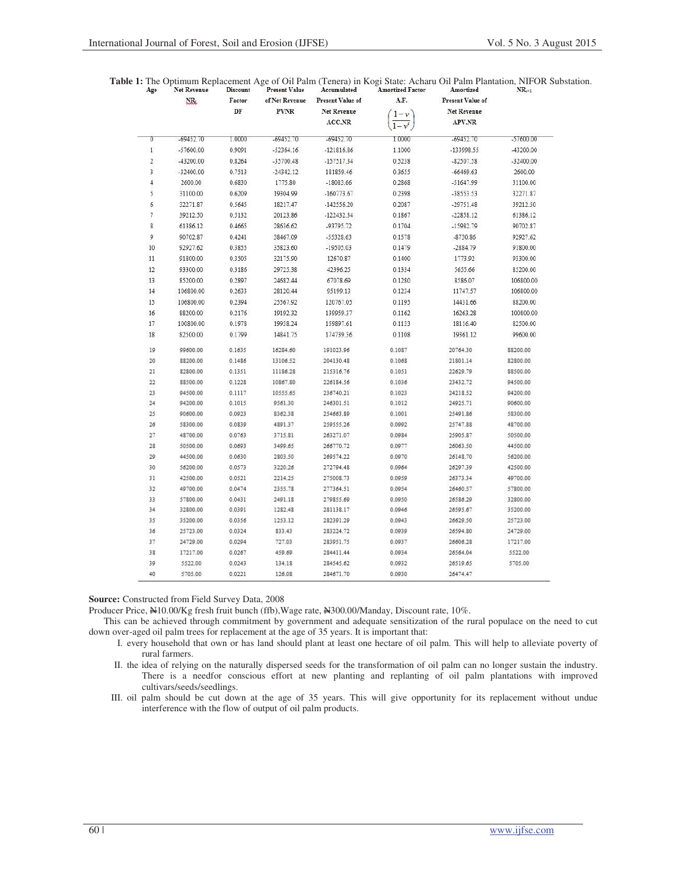|     |             |                                    |                         |           | <b>Table 1:</b> The Optimum Replacement Age of Oil Palm (Tenera) in Kogi State: Acharu Oil Palm Plantation, NIFOR Substation. |  |
|-----|-------------|------------------------------------|-------------------------|-----------|-------------------------------------------------------------------------------------------------------------------------------|--|
| Age | Net Revenue | Discount Present Value Accumulated | <b>Amortized Factor</b> | Amortized | $NR_{+1}$                                                                                                                     |  |

|                | $NR_t$      | Factor<br>$\rm DF$ | <b>PVNR</b> | of Net Revenue Present Value of<br><b>Net Revenue</b><br>ACC.NR | A.F.<br>$1-\nu$<br>$1-v^t$ | Present Value of<br><b>Net Revenue</b><br>APV.NR |             |
|----------------|-------------|--------------------|-------------|-----------------------------------------------------------------|----------------------------|--------------------------------------------------|-------------|
| 0              | -69452.70   | 1.0000             | $-69452.70$ | $-69452.70$                                                     | 1.0000                     | -69452.70                                        | -57600.00   |
| $1\,$          | $-57600.00$ | 0.9091             | $-52364.16$ | $-121816.86$                                                    | 1.1000                     | -133998.55                                       | -43200.00   |
| $\overline{2}$ | -43200.00   | 0.8264             | $-35700.48$ | -157517.34                                                      | 0.5238                     | $-82507.58$                                      | $-32400.00$ |
| 3              | $-32400.00$ | 0.7513             | $-24342.12$ | 181859.46                                                       | 0.3655                     | $-66469.63$                                      | 2600.00     |
| 4              | 2600.00     | 0.6830             | 1775.80     | $-18083.66$                                                     | 0.2868                     | $-51647.99$                                      | 31100.00    |
| 5              | 31100.00    | 0.6209             | 19304.99    | $-160773.67$                                                    | 0.2398                     | -38553.53                                        | 32271.87    |
| 6              | 32271.87    | 0.5645             | 18217.47    | $-142556.20$                                                    | 0.2087                     | $-29751.48$                                      | 39212.50    |
| 7              | 39212.50    | 0.5132             | 20123.86    | $-122432.34$                                                    | 0.1867                     | $-22858.12$                                      | 61386.12    |
| 8              | 61386.12    | 0.4665             | 28636.62    | -93795.72                                                       | 0.1704                     | $-15982.79$                                      | 90702.87    |
| 9              | 90702.87    | 0.4241             | 38467.09    | -55328.63                                                       | 0.1578                     | $-8730.86$                                       | 92927.62    |
| 10             | 92927.62    | 0.3855             | 35823.60    | -19505.03                                                       | 0.1479                     | $-2884.79$                                       | 91800.00    |
| 11             | 91800.00    | 0.3505             | 32175.90    | 12670.87                                                        | 0.1400                     | 1773.92                                          | 93300.00    |
| 12             | 93300.00    | 0.3186             | 29725.38    | 42396.25                                                        | 0.1334                     | 5655.66                                          | 85200.00    |
| 13             | 85200.00    | 0.2897             | 24682.44    | 67078.69                                                        | 0.1280                     | 8586.07                                          | 106800.00   |
| 14             | 106800.00   | 0.2633             | 28120.44    | 95199.13                                                        | 0.1234                     | 11747.57                                         | 106800.00   |
| 15             | 106800.00   | 0.2394             | 25567.92    | 120767.05                                                       | 0.1195                     | 14431.66                                         | 88200.00    |
| 16             | 88200.00    | 0.2176             | 19192.32    | 139959.37                                                       | 0.1162                     | 16263.28                                         | 100800.00   |
| 17             | 100800.00   | 0.1978             | 19938.24    | 159897.61                                                       | 0.1133                     | 18116.40                                         | 82500.00    |
| 18             | 82500.00    | 0.1799             | 14841.75    | 174739.36                                                       | 0.1108                     | 19361.12                                         | 99600.00    |
| 19             | 99600.00    | 0.1635             | 16284.60    | 191023.96                                                       | 0.1087                     | 20764.30                                         | 88200.00    |
| 20             | 88200.00    | 0.1486             | 13106.52    | 204130.48                                                       | 0.1068                     | 21801.14                                         | 82800.00    |
| 21             | 82800.00    | 0.1351             | 11186.28    | 215316.76                                                       | 0.1051                     | 22629.79                                         | 88500.00    |
| 22             | 88500.00    | 0.1228             | 10867.80    | 226184.56                                                       | 0.1036                     | 23432.72                                         | 94500.00    |
| 23             | 94500.00    | 0.1117             | 10555.65    | 236740.21                                                       | 0.1023                     | 24218.52                                         | 94200.00    |
| 24             | 94200.00    | 0.1015             | 9561.30     | 246301.51                                                       | 0.1012                     | 24925.71                                         | 90600.00    |
| 25             | 90600.00    | 0.0923             | 8362.38     | 254663.89                                                       | 0.1001                     | 25491.86                                         | 58300.00    |
| 26             | 58300.00    | 0.0839             | 4891.37     | 259555.26                                                       | 0.0992                     | 25747.88                                         | 48700.00    |
| 27             | 48700.00    | 0.0763             | 3715.81     | 263271.07                                                       | 0.0984                     | 25905.87                                         | 50500.00    |
| 28             | 50500.00    | 0.0693             | 3499.65     | 266770.72                                                       | 0.0977                     | 26063.50                                         | 44500.00    |
| 29             | 44500.00    | 0.0630             | 2803.50     | 269574.22                                                       | 0.0970                     | 26148.70                                         | 56200.00    |
| 30             | 56200.00    | 0.0573             | 3220.26     | 272794.48                                                       | 0.0964                     | 26297.39                                         | 42500.00    |
| 31             | 42500.00    | 0.0521             | 2214.25     | 275008.73                                                       | 0.0959                     | 26373.34                                         | 49700.00    |
| 32             | 49700.00    | 0.0474             | 2355.78     | 277364.51                                                       | 0.0954                     | 26460.57                                         | 57800.00    |
| 33             | 57800.00    | 0.0431             | 2491.18     | 279855.69                                                       | 0.0950                     | 26586.29                                         | 32800.00    |
| 34             | 32800.00    | 0.0391             | 1282.48     | 281138.17                                                       | 0.0946                     | 26595.67                                         | 35200.00    |
| 35             | 35200.00    | 0.0356             | 1253.12     | 282391.29                                                       | 0.0943                     | 26629.50                                         | 25723.00    |
| 36             | 25723.00    | 0.0324             | 833.43      | 283224.72                                                       | 0.0939                     | 26594.80                                         | 24729.00    |
| 37             | 24729.00    | 0.0294             | 727.03      | 283951.75                                                       | 0.0937                     | 26606.28                                         | 17217.00    |
| 38             | 17217.00    | 0.0267             | 459.69      | 284411.44                                                       | 0.0934                     | 26564.04                                         | 5522.00     |
| 39             | 5522.00     | 0.0243             | 134.18      | 284545.62                                                       | 0.0932                     | 26519.65                                         | 5705.00     |
| 40             | 5705.00     | 0.0221             | 126.08      | 284671.70                                                       | 0.0930                     | 26474.47                                         |             |

**Source:** Constructed from Field Survey Data, 2008

Producer Price,  $\text{N10.00/Kg}$  fresh fruit bunch (ffb), Wage rate, N300.00/Manday, Discount rate, 10%.

This can be achieved through commitment by government and adequate sensitization of the rural populace on the need to cut down over-aged oil palm trees for replacement at the age of 35 years. It is important that:

- I. every household that own or has land should plant at least one hectare of oil palm. This will help to alleviate poverty of rural farmers.
	- II. the idea of relying on the naturally dispersed seeds for the transformation of oil palm can no longer sustain the industry. There is a needfor conscious effort at new planting and replanting of oil palm plantations with improved cultivars/seeds/seedlings.
- III. oil palm should be cut down at the age of 35 years. This will give opportunity for its replacement without undue interference with the flow of output of oil palm products.